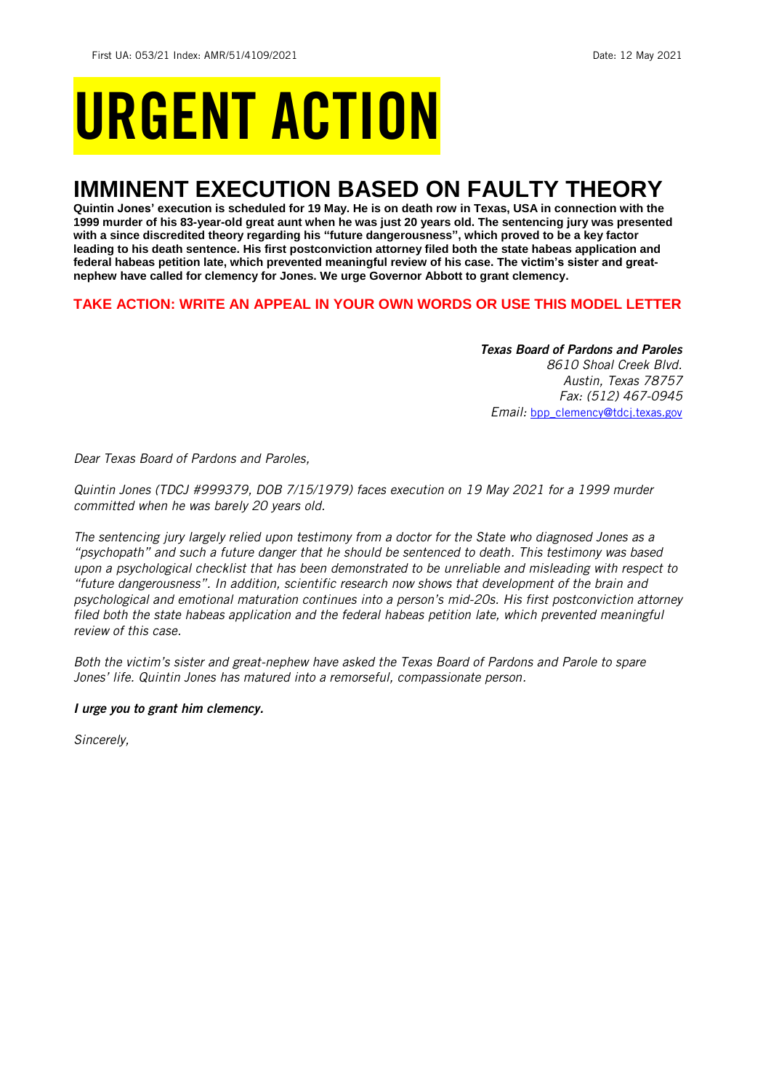# URGENT ACTION

## **IMMINENT EXECUTION BASED ON FAULTY THEORY**

**Quintin Jones' execution is scheduled for 19 May. He is on death row in Texas, USA in connection with the 1999 murder of his 83-year-old great aunt when he was just 20 years old. The sentencing jury was presented with a since discredited theory regarding his "future dangerousness", which proved to be a key factor leading to his death sentence. His first postconviction attorney filed both the state habeas application and federal habeas petition late, which prevented meaningful review of his case. The victim's sister and greatnephew have called for clemency for Jones. We urge Governor Abbott to grant clemency.** 

## **TAKE ACTION: WRITE AN APPEAL IN YOUR OWN WORDS OR USE THIS MODEL LETTER**

*Texas Board of Pardons and Paroles 8610 Shoal Creek Blvd. Austin, Texas 78757 Fax: (512) 467-0945 Email:* [bpp\\_clemency@tdcj.texas.gov](mailto:bpp_clemency@tdcj.texas.gov)

*Dear Texas Board of Pardons and Paroles,*

*Quintin Jones (TDCJ #999379, DOB 7/15/1979) faces execution on 19 May 2021 for a 1999 murder committed when he was barely 20 years old.* 

*The sentencing jury largely relied upon testimony from a doctor for the State who diagnosed Jones as a "psychopath" and such a future danger that he should be sentenced to death. This testimony was based upon a psychological checklist that has been demonstrated to be unreliable and misleading with respect to "future dangerousness". In addition, scientific research now shows that development of the brain and psychological and emotional maturation continues into a person's mid-20s. His first postconviction attorney filed both the state habeas application and the federal habeas petition late, which prevented meaningful review of this case.* 

*Both the victim's sister and great-nephew have asked the Texas Board of Pardons and Parole to spare Jones' life. Quintin Jones has matured into a remorseful, compassionate person.* 

*I urge you to grant him clemency.* 

*Sincerely,*